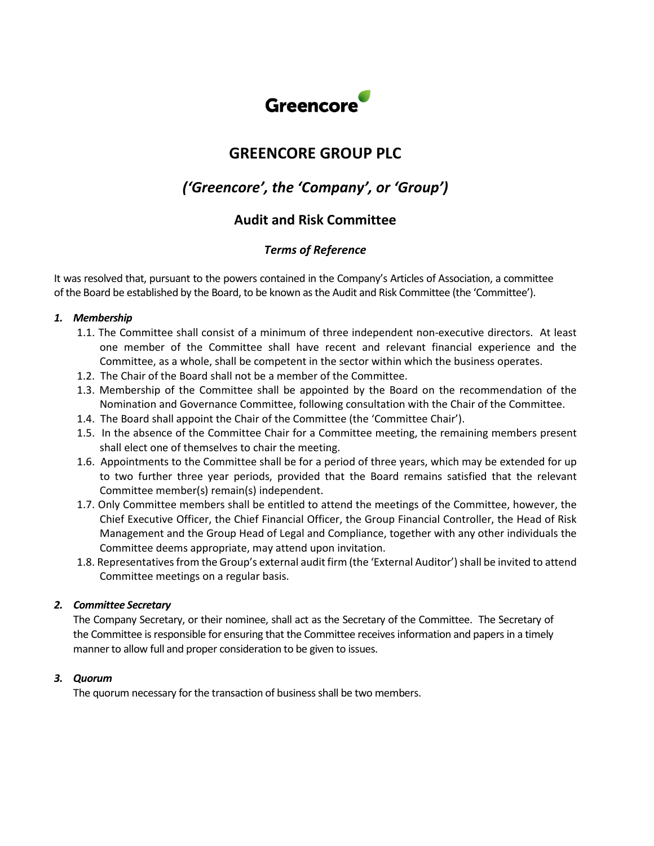

## **GREENCORE GROUP PLC**

# *('Greencore', the 'Company', or 'Group')*

## **Audit and Risk Committee**

### *Terms of Reference*

It was resolved that, pursuant to the powers contained in the Company's Articles of Association, a committee of the Board be established by the Board, to be known as the Audit and Risk Committee (the 'Committee').

#### *1. Membership*

- 1.1. The Committee shall consist of a minimum of three independent non-executive directors. At least one member of the Committee shall have recent and relevant financial experience and the Committee, as a whole, shall be competent in the sector within which the business operates.
- 1.2. The Chair of the Board shall not be a member of the Committee.
- 1.3. Membership of the Committee shall be appointed by the Board on the recommendation of the Nomination and Governance Committee, following consultation with the Chair of the Committee.
- 1.4. The Board shall appoint the Chair of the Committee (the 'Committee Chair').
- 1.5. In the absence of the Committee Chair for a Committee meeting, the remaining members present shall elect one of themselves to chair the meeting.
- 1.6. Appointments to the Committee shall be for a period of three years, which may be extended for up to two further three year periods, provided that the Board remains satisfied that the relevant Committee member(s) remain(s) independent.
- 1.7. Only Committee members shall be entitled to attend the meetings of the Committee, however, the Chief Executive Officer, the Chief Financial Officer, the Group Financial Controller, the Head of Risk Management and the Group Head of Legal and Compliance, together with any other individuals the Committee deems appropriate, may attend upon invitation.
- 1.8. Representatives from the Group's external audit firm (the 'External Auditor') shall be invited to attend Committee meetings on a regular basis.

#### *2. Committee Secretary*

The Company Secretary, or their nominee, shall act as the Secretary of the Committee. The Secretary of the Committee is responsible for ensuring that the Committee receives information and papers in a timely manner to allow full and proper consideration to be given to issues.

#### *3. Quorum*

The quorum necessary for the transaction of business shall be two members.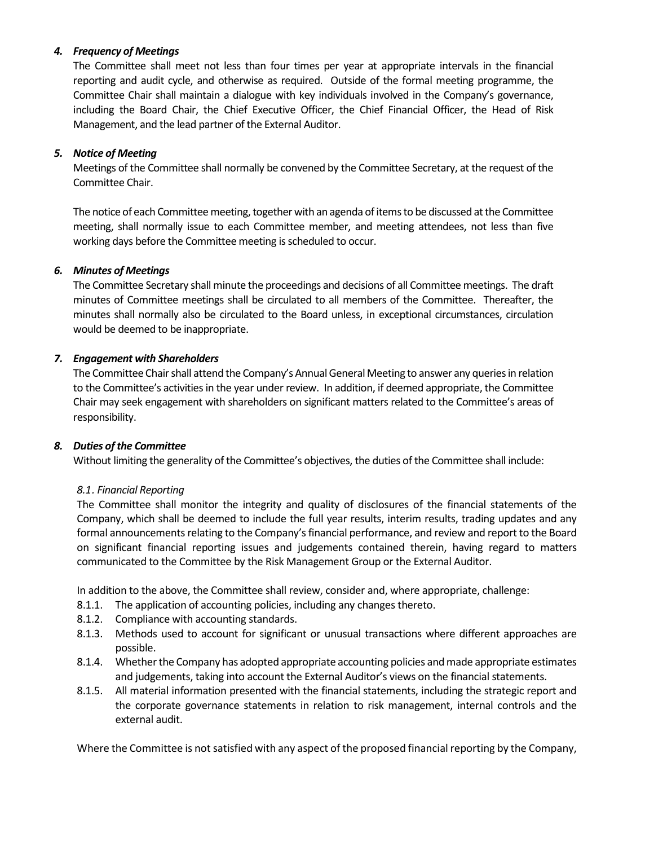#### *4. Frequency of Meetings*

The Committee shall meet not less than four times per year at appropriate intervals in the financial reporting and audit cycle, and otherwise as required. Outside of the formal meeting programme, the Committee Chair shall maintain a dialogue with key individuals involved in the Company's governance, including the Board Chair, the Chief Executive Officer, the Chief Financial Officer, the Head of Risk Management, and the lead partner of the External Auditor.

#### *5. Notice of Meeting*

Meetings of the Committee shall normally be convened by the Committee Secretary, at the request of the Committee Chair.

The notice of each Committee meeting, together with an agenda of items to be discussed at the Committee meeting, shall normally issue to each Committee member, and meeting attendees, not less than five working days before the Committee meeting is scheduled to occur.

#### *6. Minutes of Meetings*

The Committee Secretary shall minute the proceedings and decisions of all Committee meetings. The draft minutes of Committee meetings shall be circulated to all members of the Committee. Thereafter, the minutes shall normally also be circulated to the Board unless, in exceptional circumstances, circulation would be deemed to be inappropriate.

#### *7. Engagement with Shareholders*

The Committee Chair shall attend the Company's Annual General Meeting to answer any queries in relation to the Committee's activities in the year under review. In addition, if deemed appropriate, the Committee Chair may seek engagement with shareholders on significant matters related to the Committee's areas of responsibility.

#### *8. Duties of the Committee*

Without limiting the generality of the Committee's objectives, the duties of the Committee shall include:

#### *8.1. Financial Reporting*

The Committee shall monitor the integrity and quality of disclosures of the financial statements of the Company, which shall be deemed to include the full year results, interim results, trading updates and any formal announcements relating to the Company'sfinancial performance, and review and report to the Board on significant financial reporting issues and judgements contained therein, having regard to matters communicated to the Committee by the Risk Management Group or the External Auditor.

In addition to the above, the Committee shall review, consider and, where appropriate, challenge:

- 8.1.1. The application of accounting policies, including any changes thereto.
- 8.1.2. Compliance with accounting standards.
- 8.1.3. Methods used to account for significant or unusual transactions where different approaches are possible.
- 8.1.4. Whether the Company has adopted appropriate accounting policies and made appropriate estimates and judgements, taking into account the External Auditor's views on the financial statements.
- 8.1.5. All material information presented with the financial statements, including the strategic report and the corporate governance statements in relation to risk management, internal controls and the external audit.

Where the Committee is not satisfied with any aspect of the proposed financial reporting by the Company,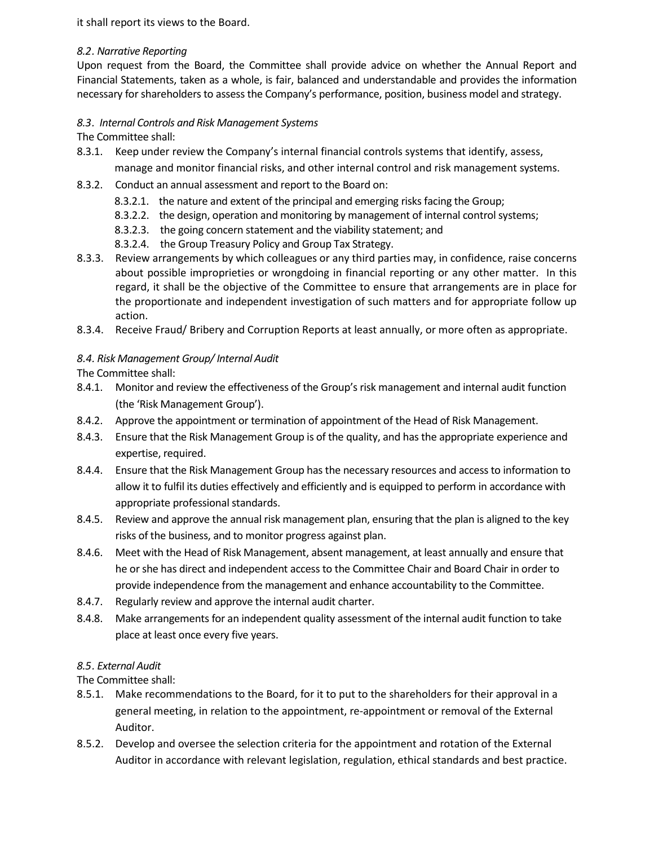it shall report its views to the Board.

#### *8.2. Narrative Reporting*

Upon request from the Board, the Committee shall provide advice on whether the Annual Report and Financial Statements, taken as a whole, is fair, balanced and understandable and provides the information necessary for shareholders to assess the Company's performance, position, business model and strategy.

#### *8.3. Internal Controls and Risk Management Systems*

The Committee shall:

- 8.3.1. Keep under review the Company's internal financial controls systems that identify, assess, manage and monitor financial risks, and other internal control and risk management systems.
- 8.3.2. Conduct an annual assessment and report to the Board on:
	- 8.3.2.1. the nature and extent of the principal and emerging risks facing the Group;
	- 8.3.2.2. the design, operation and monitoring by management of internal control systems;
	- 8.3.2.3. the going concern statement and the viability statement; and
	- 8.3.2.4. the Group Treasury Policy and Group Tax Strategy.
- 8.3.3. Review arrangements by which colleagues or any third parties may, in confidence, raise concerns about possible improprieties or wrongdoing in financial reporting or any other matter. In this regard, it shall be the objective of the Committee to ensure that arrangements are in place for the proportionate and independent investigation of such matters and for appropriate follow up action.
- 8.3.4. Receive Fraud/ Bribery and Corruption Reports at least annually, or more often as appropriate.

### *8.4. Risk Management Group/Internal Audit*

The Committee shall:

- 8.4.1. Monitor and review the effectiveness of the Group's risk management and internal audit function (the 'Risk Management Group').
- 8.4.2. Approve the appointment or termination of appointment of the Head of Risk Management.
- 8.4.3. Ensure that the Risk Management Group is of the quality, and has the appropriate experience and expertise, required.
- 8.4.4. Ensure that the Risk Management Group has the necessary resources and access to information to allow it to fulfil its duties effectively and efficiently and is equipped to perform in accordance with appropriate professional standards.
- 8.4.5. Review and approve the annual risk management plan, ensuring that the plan is aligned to the key risks of the business, and to monitor progress against plan.
- 8.4.6. Meet with the Head of Risk Management, absent management, at least annually and ensure that he or she has direct and independent access to the Committee Chair and Board Chair in order to provide independence from the management and enhance accountability to the Committee.
- 8.4.7. Regularly review and approve the internal audit charter.
- 8.4.8. Make arrangements for an independent quality assessment of the internal audit function to take place at least once every five years.

#### *8.5. External Audit*

The Committee shall:

- 8.5.1. Make recommendations to the Board, for it to put to the shareholders for their approval in a general meeting, in relation to the appointment, re-appointment or removal of the External Auditor.
- 8.5.2. Develop and oversee the selection criteria for the appointment and rotation of the External Auditor in accordance with relevant legislation, regulation, ethical standards and best practice.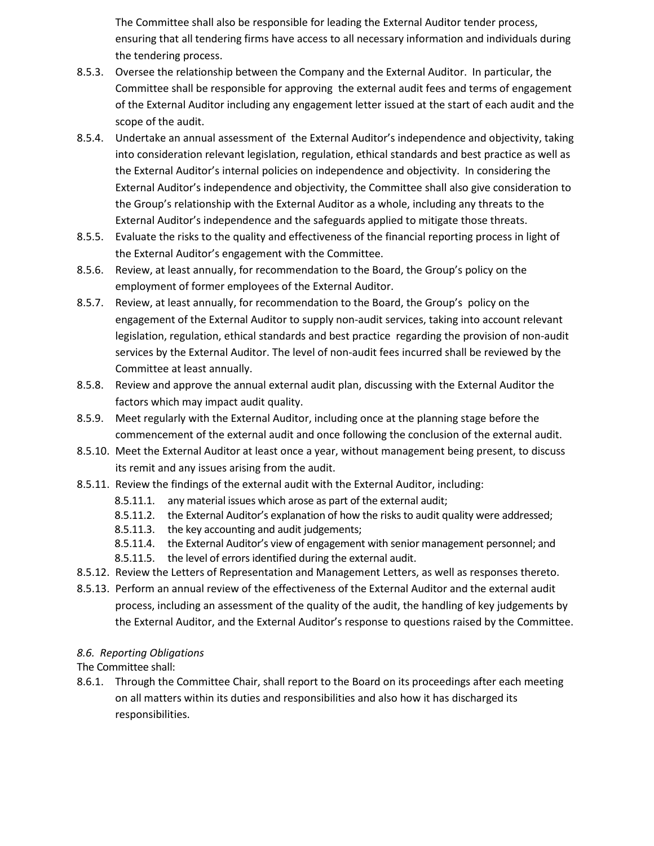The Committee shall also be responsible for leading the External Auditor tender process, ensuring that all tendering firms have access to all necessary information and individuals during the tendering process.

- 8.5.3. Oversee the relationship between the Company and the External Auditor. In particular, the Committee shall be responsible for approving the external audit fees and terms of engagement of the External Auditor including any engagement letter issued at the start of each audit and the scope of the audit.
- 8.5.4. Undertake an annual assessment of the External Auditor's independence and objectivity, taking into consideration relevant legislation, regulation, ethical standards and best practice as well as the External Auditor's internal policies on independence and objectivity. In considering the External Auditor's independence and objectivity, the Committee shall also give consideration to the Group's relationship with the External Auditor as a whole, including any threats to the External Auditor's independence and the safeguards applied to mitigate those threats.
- 8.5.5. Evaluate the risks to the quality and effectiveness of the financial reporting process in light of the External Auditor's engagement with the Committee.
- 8.5.6. Review, at least annually, for recommendation to the Board, the Group's policy on the employment of former employees of the External Auditor.
- 8.5.7. Review, at least annually, for recommendation to the Board, the Group's policy on the engagement of the External Auditor to supply non-audit services, taking into account relevant legislation, regulation, ethical standards and best practice regarding the provision of non-audit services by the External Auditor. The level of non-audit fees incurred shall be reviewed by the Committee at least annually.
- 8.5.8. Review and approve the annual external audit plan, discussing with the External Auditor the factors which may impact audit quality.
- 8.5.9. Meet regularly with the External Auditor, including once at the planning stage before the commencement of the external audit and once following the conclusion of the external audit.
- 8.5.10. Meet the External Auditor at least once a year, without management being present, to discuss its remit and any issues arising from the audit.
- 8.5.11. Review the findings of the external audit with the External Auditor, including:
	- 8.5.11.1. any material issues which arose as part of the external audit;
	- 8.5.11.2. the External Auditor's explanation of how the risks to audit quality were addressed;
	- 8.5.11.3. the key accounting and audit judgements;
	- 8.5.11.4. the External Auditor's view of engagement with senior management personnel; and
	- 8.5.11.5. the level of errors identified during the external audit.
- 8.5.12. Review the Letters of Representation and Management Letters, as well as responses thereto.
- 8.5.13. Perform an annual review of the effectiveness of the External Auditor and the external audit process, including an assessment of the quality of the audit, the handling of key judgements by the External Auditor, and the External Auditor's response to questions raised by the Committee.

#### *8.6. Reporting Obligations*

The Committee shall:

8.6.1. Through the Committee Chair, shall report to the Board on its proceedings after each meeting on all matters within its duties and responsibilities and also how it has discharged its responsibilities.